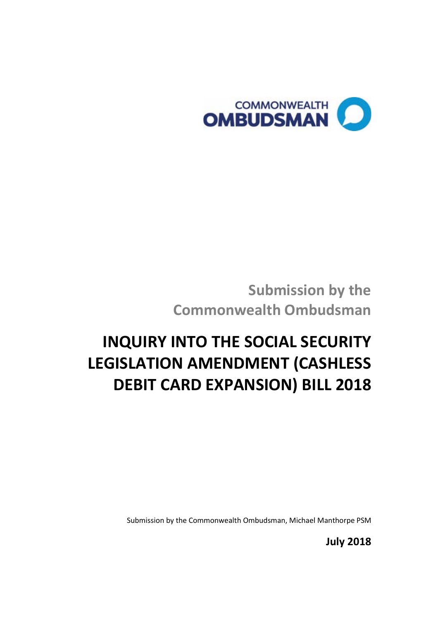

**Submission by the Commonwealth Ombudsman**

# **INQUIRY INTO THE SOCIAL SECURITY LEGISLATION AMENDMENT (CASHLESS DEBIT CARD EXPANSION) BILL 2018**

Submission by the Commonwealth Ombudsman, Michael Manthorpe PSM

**July 2018**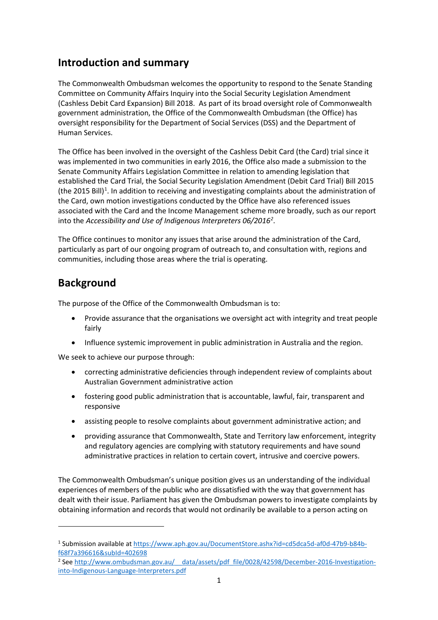### **Introduction and summary**

The Commonwealth Ombudsman welcomes the opportunity to respond to the Senate Standing Committee on Community Affairs Inquiry into the Social Security Legislation Amendment (Cashless Debit Card Expansion) Bill 2018. As part of its broad oversight role of Commonwealth government administration, the Office of the Commonwealth Ombudsman (the Office) has oversight responsibility for the Department of Social Services (DSS) and the Department of Human Services.

The Office has been involved in the oversight of the Cashless Debit Card (the Card) trial since it was implemented in two communities in early 2016, the Office also made a submission to the Senate Community Affairs Legislation Committee in relation to amending legislation that established the Card Trial, the Social Security Legislation Amendment (Debit Card Trial) Bill 2015 (the 20[1](#page-1-0)5 Bill)<sup>1</sup>. In addition to receiving and investigating complaints about the administration of the Card, own motion investigations conducted by the Office have also referenced issues associated with the Card and the Income Management scheme more broadly, such as our report into the *Accessibility and Use of Indigenous Interpreters 06/2016[2](#page-1-1)* .

The Office continues to monitor any issues that arise around the administration of the Card, particularly as part of our ongoing program of outreach to, and consultation with, regions and communities, including those areas where the trial is operating.

## **Background**

 $\overline{a}$ 

The purpose of the Office of the Commonwealth Ombudsman is to:

- Provide assurance that the organisations we oversight act with integrity and treat people fairly
- Influence systemic improvement in public administration in Australia and the region.

We seek to achieve our purpose through:

- correcting administrative deficiencies through independent review of complaints about Australian Government administrative action
- fostering good public administration that is accountable, lawful, fair, transparent and responsive
- assisting people to resolve complaints about government administrative action; and
- providing assurance that Commonwealth, State and Territory law enforcement, integrity and regulatory agencies are complying with statutory requirements and have sound administrative practices in relation to certain covert, intrusive and coercive powers.

The Commonwealth Ombudsman's unique position gives us an understanding of the individual experiences of members of the public who are dissatisfied with the way that government has dealt with their issue. Parliament has given the Ombudsman powers to investigate complaints by obtaining information and records that would not ordinarily be available to a person acting on

<span id="page-1-0"></span><sup>1</sup> Submission available a[t https://www.aph.gov.au/DocumentStore.ashx?id=cd5dca5d-af0d-47b9-b84b](https://www.aph.gov.au/DocumentStore.ashx?id=cd5dca5d-af0d-47b9-b84b-f68f7a396616&subId=402698)[f68f7a396616&subId=402698](https://www.aph.gov.au/DocumentStore.ashx?id=cd5dca5d-af0d-47b9-b84b-f68f7a396616&subId=402698)

<span id="page-1-1"></span><sup>&</sup>lt;sup>2</sup> See http://www.ombudsman.gov.au/ \_data/assets/pdf\_file/0028/42598/December-2016-Investigation[into-Indigenous-Language-Interpreters.pdf](http://www.ombudsman.gov.au/__data/assets/pdf_file/0028/42598/December-2016-Investigation-into-Indigenous-Language-Interpreters.pdf)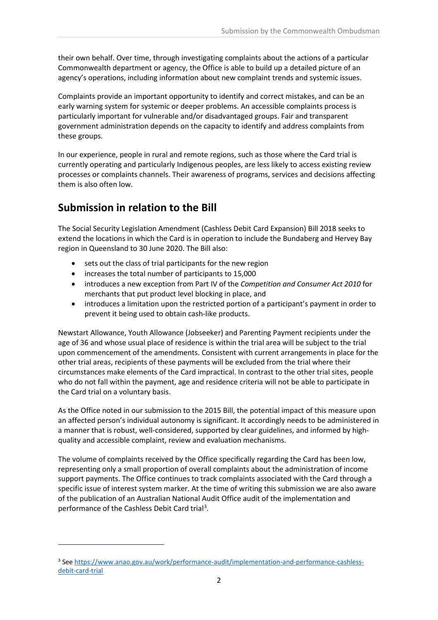their own behalf. Over time, through investigating complaints about the actions of a particular Commonwealth department or agency, the Office is able to build up a detailed picture of an agency's operations, including information about new complaint trends and systemic issues.

Complaints provide an important opportunity to identify and correct mistakes, and can be an early warning system for systemic or deeper problems. An accessible complaints process is particularly important for vulnerable and/or disadvantaged groups. Fair and transparent government administration depends on the capacity to identify and address complaints from these groups.

In our experience, people in rural and remote regions, such as those where the Card trial is currently operating and particularly Indigenous peoples, are less likely to access existing review processes or complaints channels. Their awareness of programs, services and decisions affecting them is also often low.

## **Submission in relation to the Bill**

 $\overline{a}$ 

The Social Security Legislation Amendment (Cashless Debit Card Expansion) Bill 2018 seeks to extend the locations in which the Card is in operation to include the Bundaberg and Hervey Bay region in Queensland to 30 June 2020. The Bill also:

- sets out the class of trial participants for the new region
- increases the total number of participants to 15,000
- introduces a new exception from Part IV of the *Competition and Consumer Act 2010* for merchants that put product level blocking in place, and
- introduces a limitation upon the restricted portion of a participant's payment in order to prevent it being used to obtain cash-like products.

Newstart Allowance, Youth Allowance (Jobseeker) and Parenting Payment recipients under the age of 36 and whose usual place of residence is within the trial area will be subject to the trial upon commencement of the amendments. Consistent with current arrangements in place for the other trial areas, recipients of these payments will be excluded from the trial where their circumstances make elements of the Card impractical. In contrast to the other trial sites, people who do not fall within the payment, age and residence criteria will not be able to participate in the Card trial on a voluntary basis.

As the Office noted in our submission to the 2015 Bill, the potential impact of this measure upon an affected person's individual autonomy is significant. It accordingly needs to be administered in a manner that is robust, well-considered, supported by clear guidelines, and informed by highquality and accessible complaint, review and evaluation mechanisms.

The volume of complaints received by the Office specifically regarding the Card has been low, representing only a small proportion of overall complaints about the administration of income support payments. The Office continues to track complaints associated with the Card through a specific issue of interest system marker. At the time of writing this submission we are also aware of the publication of an Australian National Audit Office audit of the implementation and performance of the Cashless Debit Card trial<sup>[3](#page-2-0)</sup>.

<span id="page-2-0"></span><sup>3</sup> See [https://www.anao.gov.au/work/performance-audit/implementation-and-performance-cashless](https://www.anao.gov.au/work/performance-audit/implementation-and-performance-cashless-debit-card-trial)[debit-card-trial](https://www.anao.gov.au/work/performance-audit/implementation-and-performance-cashless-debit-card-trial)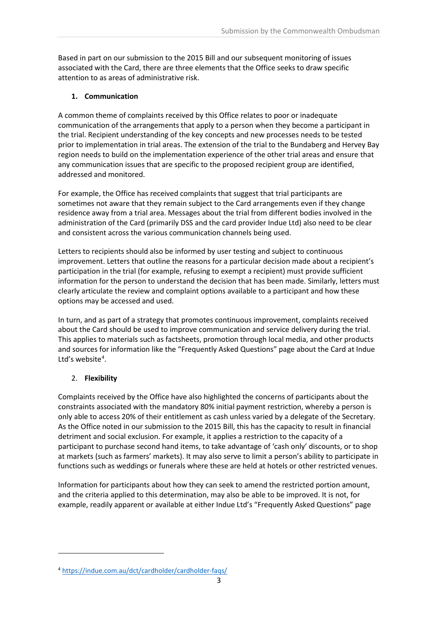Based in part on our submission to the 2015 Bill and our subsequent monitoring of issues associated with the Card, there are three elements that the Office seeks to draw specific attention to as areas of administrative risk.

#### **1. Communication**

A common theme of complaints received by this Office relates to poor or inadequate communication of the arrangements that apply to a person when they become a participant in the trial. Recipient understanding of the key concepts and new processes needs to be tested prior to implementation in trial areas. The extension of the trial to the Bundaberg and Hervey Bay region needs to build on the implementation experience of the other trial areas and ensure that any communication issues that are specific to the proposed recipient group are identified, addressed and monitored.

For example, the Office has received complaints that suggest that trial participants are sometimes not aware that they remain subject to the Card arrangements even if they change residence away from a trial area. Messages about the trial from different bodies involved in the administration of the Card (primarily DSS and the card provider Indue Ltd) also need to be clear and consistent across the various communication channels being used.

Letters to recipients should also be informed by user testing and subject to continuous improvement. Letters that outline the reasons for a particular decision made about a recipient's participation in the trial (for example, refusing to exempt a recipient) must provide sufficient information for the person to understand the decision that has been made. Similarly, letters must clearly articulate the review and complaint options available to a participant and how these options may be accessed and used.

In turn, and as part of a strategy that promotes continuous improvement, complaints received about the Card should be used to improve communication and service delivery during the trial. This applies to materials such as factsheets, promotion through local media, and other products and sources for information like the "Frequently Asked Questions" page about the Card at Indue Ltd's website<sup>[4](#page-3-0)</sup>.

#### 2. **Flexibility**

 $\overline{a}$ 

Complaints received by the Office have also highlighted the concerns of participants about the constraints associated with the mandatory 80% initial payment restriction, whereby a person is only able to access 20% of their entitlement as cash unless varied by a delegate of the Secretary. As the Office noted in our submission to the 2015 Bill, this has the capacity to result in financial detriment and social exclusion. For example, it applies a restriction to the capacity of a participant to purchase second hand items, to take advantage of 'cash only' discounts, or to shop at markets (such as farmers' markets). It may also serve to limit a person's ability to participate in functions such as weddings or funerals where these are held at hotels or other restricted venues.

Information for participants about how they can seek to amend the restricted portion amount, and the criteria applied to this determination, may also be able to be improved. It is not, for example, readily apparent or available at either Indue Ltd's "Frequently Asked Questions" page

<span id="page-3-0"></span><sup>4</sup> <https://indue.com.au/dct/cardholder/cardholder-faqs/>